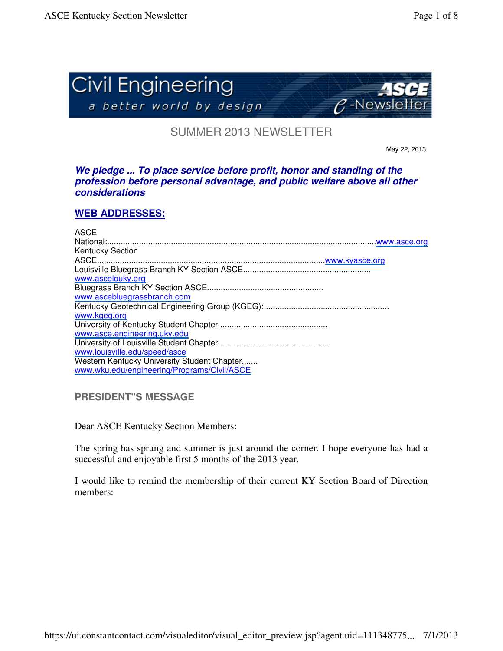

SUMMER 2013 NEWSLETTER

May 22, 2013

## *We pledge ... To place service before profit, honor and standing of the profession before personal advantage, and public welfare above all other considerations*

# **WEB ADDRESSES:**

#### ASCE National:......................................................................................................................www.asce.org Kentucky Section ASCE....................................................................................................www.kyasce.org Louisville Bluegrass Branch KY Section ASCE........................................................ www.ascelouky.org Bluegrass Branch KY Section ASCE................................................... www.ascebluegrassbranch.com Kentucky Geotechnical Engineering Group (KGEG): ...................................................... www.kgeg.org University of Kentucky Student Chapter ............................................... www.asce.engineering.uky.edu University of Louisville Student Chapter ................................................ www.louisville.edu/speed/asce Western Kentucky University Student Chapter....... www.wku.edu/engineering/Programs/Civil/ASCE

**PRESIDENT"S MESSAGE**

Dear ASCE Kentucky Section Members:

The spring has sprung and summer is just around the corner. I hope everyone has had a successful and enjoyable first 5 months of the 2013 year.

I would like to remind the membership of their current KY Section Board of Direction members: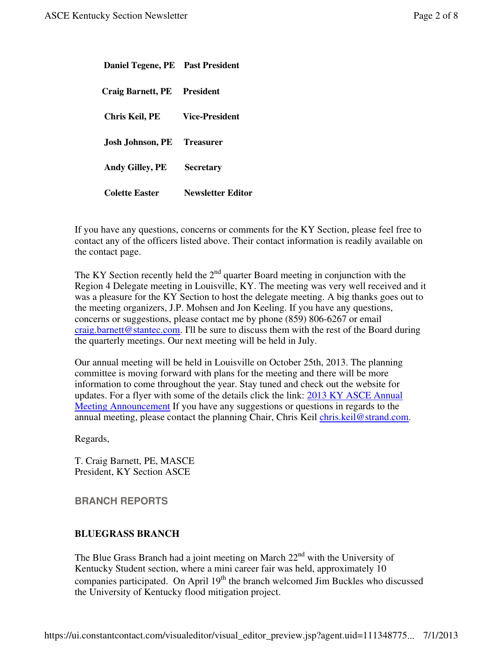| Daniel Tegene, PE Past President |                          |
|----------------------------------|--------------------------|
| Craig Barnett, PE President      |                          |
| Chris Keil, PE                   | <b>Vice-President</b>    |
| Josh Johnson, PE                 | <b>Treasurer</b>         |
| <b>Andy Gilley, PE</b>           | <b>Secretary</b>         |
| <b>Colette Easter</b>            | <b>Newsletter Editor</b> |

If you have any questions, concerns or comments for the KY Section, please feel free to contact any of the officers listed above. Their contact information is readily available on the contact page.

The KY Section recently held the  $2<sup>nd</sup>$  quarter Board meeting in conjunction with the Region 4 Delegate meeting in Louisville, KY. The meeting was very well received and it was a pleasure for the KY Section to host the delegate meeting. A big thanks goes out to the meeting organizers, J.P. Mohsen and Jon Keeling. If you have any questions, concerns or suggestions, please contact me by phone (859) 806-6267 or email craig.barnett@stantec.com. I'll be sure to discuss them with the rest of the Board during the quarterly meetings. Our next meeting will be held in July.

Our annual meeting will be held in Louisville on October 25th, 2013. The planning committee is moving forward with plans for the meeting and there will be more information to come throughout the year. Stay tuned and check out the website for updates. For a flyer with some of the details click the link: 2013 KY ASCE Annual Meeting Announcement If you have any suggestions or questions in regards to the annual meeting, please contact the planning Chair, Chris Keil chris.keil@strand.com.

Regards,

T. Craig Barnett, PE, MASCE President, KY Section ASCE

**BRANCH REPORTS**

#### **BLUEGRASS BRANCH**

The Blue Grass Branch had a joint meeting on March  $22<sup>nd</sup>$  with the University of Kentucky Student section, where a mini career fair was held, approximately 10 companies participated. On April 19<sup>th</sup> the branch welcomed Jim Buckles who discussed the University of Kentucky flood mitigation project.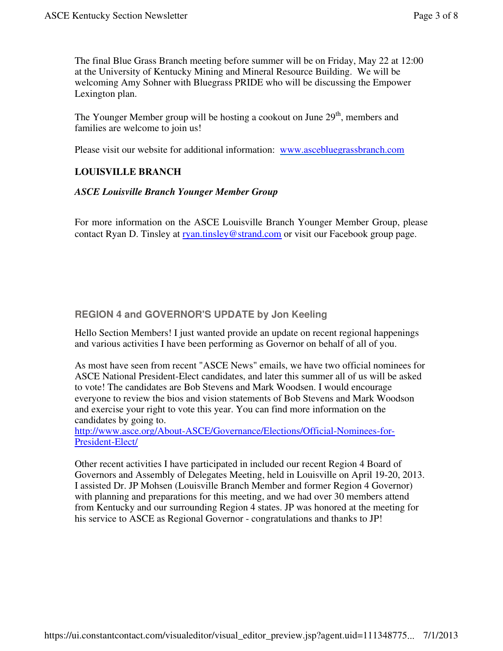The final Blue Grass Branch meeting before summer will be on Friday, May 22 at 12:00 at the University of Kentucky Mining and Mineral Resource Building. We will be welcoming Amy Sohner with Bluegrass PRIDE who will be discussing the Empower Lexington plan.

The Younger Member group will be hosting a cookout on June  $29<sup>th</sup>$ , members and families are welcome to join us!

Please visit our website for additional information: www.ascebluegrassbranch.com

# **LOUISVILLE BRANCH**

## *ASCE Louisville Branch Younger Member Group*

For more information on the ASCE Louisville Branch Younger Member Group, please contact Ryan D. Tinsley at ryan.tinsley@strand.com or visit our Facebook group page.

# **REGION 4 and GOVERNOR'S UPDATE by Jon Keeling**

Hello Section Members! I just wanted provide an update on recent regional happenings and various activities I have been performing as Governor on behalf of all of you.

As most have seen from recent "ASCE News" emails, we have two official nominees for ASCE National President-Elect candidates, and later this summer all of us will be asked to vote! The candidates are Bob Stevens and Mark Woodsen. I would encourage everyone to review the bios and vision statements of Bob Stevens and Mark Woodson and exercise your right to vote this year. You can find more information on the candidates by going to.

http://www.asce.org/About-ASCE/Governance/Elections/Official-Nominees-for-President-Elect/

Other recent activities I have participated in included our recent Region 4 Board of Governors and Assembly of Delegates Meeting, held in Louisville on April 19-20, 2013. I assisted Dr. JP Mohsen (Louisville Branch Member and former Region 4 Governor) with planning and preparations for this meeting, and we had over 30 members attend from Kentucky and our surrounding Region 4 states. JP was honored at the meeting for his service to ASCE as Regional Governor - congratulations and thanks to JP!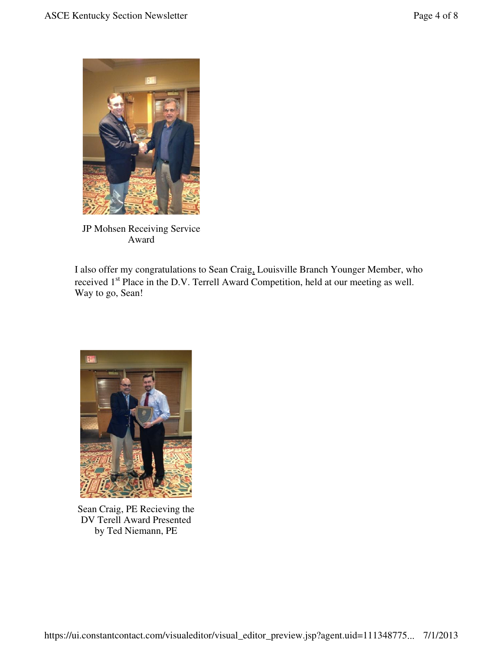

JP Mohsen Receiving Service Award

I also offer my congratulations to Sean Craig, Louisville Branch Younger Member, who received 1<sup>st</sup> Place in the D.V. Terrell Award Competition, held at our meeting as well. Way to go, Sean!



Sean Craig, PE Recieving the DV Terell Award Presented by Ted Niemann, PE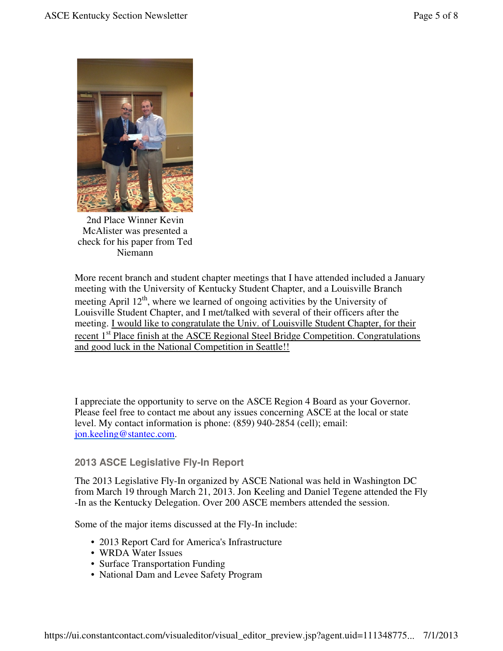

2nd Place Winner Kevin McAlister was presented a check for his paper from Ted Niemann

More recent branch and student chapter meetings that I have attended included a January meeting with the University of Kentucky Student Chapter, and a Louisville Branch meeting April 12<sup>th</sup>, where we learned of ongoing activities by the University of Louisville Student Chapter, and I met/talked with several of their officers after the meeting. I would like to congratulate the Univ. of Louisville Student Chapter, for their recent 1<sup>st</sup> Place finish at the ASCE Regional Steel Bridge Competition. Congratulations and good luck in the National Competition in Seattle!!

I appreciate the opportunity to serve on the ASCE Region 4 Board as your Governor. Please feel free to contact me about any issues concerning ASCE at the local or state level. My contact information is phone: (859) 940-2854 (cell); email: jon.keeling@stantec.com.

# **2013 ASCE Legislative Fly-In Report**

The 2013 Legislative Fly-In organized by ASCE National was held in Washington DC from March 19 through March 21, 2013. Jon Keeling and Daniel Tegene attended the Fly -In as the Kentucky Delegation. Over 200 ASCE members attended the session.

Some of the major items discussed at the Fly-In include:

- 2013 Report Card for America's Infrastructure
- WRDA Water Issues
- Surface Transportation Funding
- National Dam and Levee Safety Program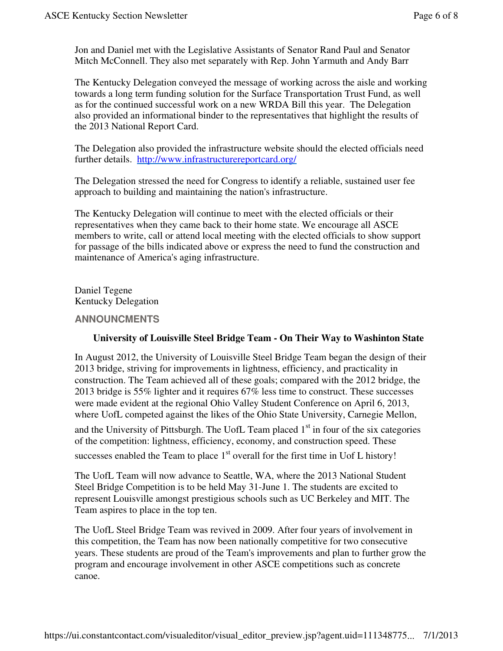Jon and Daniel met with the Legislative Assistants of Senator Rand Paul and Senator Mitch McConnell. They also met separately with Rep. John Yarmuth and Andy Barr

The Kentucky Delegation conveyed the message of working across the aisle and working towards a long term funding solution for the Surface Transportation Trust Fund, as well as for the continued successful work on a new WRDA Bill this year. The Delegation also provided an informational binder to the representatives that highlight the results of the 2013 National Report Card.

The Delegation also provided the infrastructure website should the elected officials need further details. http://www.infrastructurereportcard.org/

The Delegation stressed the need for Congress to identify a reliable, sustained user fee approach to building and maintaining the nation's infrastructure.

The Kentucky Delegation will continue to meet with the elected officials or their representatives when they came back to their home state. We encourage all ASCE members to write, call or attend local meeting with the elected officials to show support for passage of the bills indicated above or express the need to fund the construction and maintenance of America's aging infrastructure.

Daniel Tegene Kentucky Delegation

#### **ANNOUNCMENTS**

#### **University of Louisville Steel Bridge Team - On Their Way to Washinton State**

In August 2012, the University of Louisville Steel Bridge Team began the design of their 2013 bridge, striving for improvements in lightness, efficiency, and practicality in construction. The Team achieved all of these goals; compared with the 2012 bridge, the 2013 bridge is 55% lighter and it requires 67% less time to construct. These successes were made evident at the regional Ohio Valley Student Conference on April 6, 2013, where UofL competed against the likes of the Ohio State University, Carnegie Mellon,

and the University of Pittsburgh. The UofL Team placed  $1<sup>st</sup>$  in four of the six categories of the competition: lightness, efficiency, economy, and construction speed. These

successes enabled the Team to place  $1<sup>st</sup>$  overall for the first time in Uof L history!

The UofL Team will now advance to Seattle, WA, where the 2013 National Student Steel Bridge Competition is to be held May 31-June 1. The students are excited to represent Louisville amongst prestigious schools such as UC Berkeley and MIT. The Team aspires to place in the top ten.

The UofL Steel Bridge Team was revived in 2009. After four years of involvement in this competition, the Team has now been nationally competitive for two consecutive years. These students are proud of the Team's improvements and plan to further grow the program and encourage involvement in other ASCE competitions such as concrete canoe.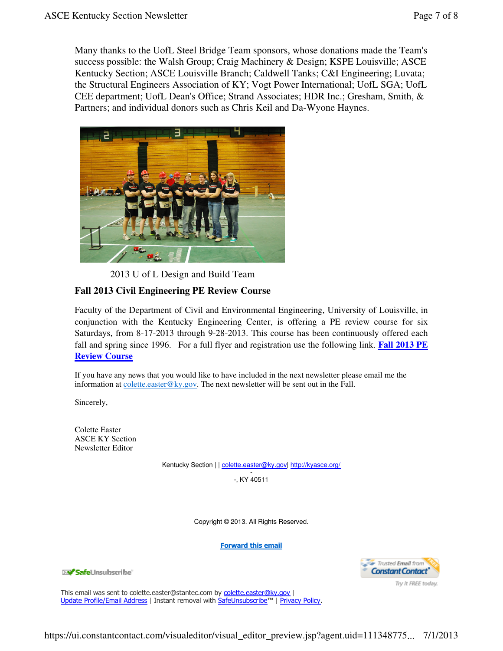Many thanks to the UofL Steel Bridge Team sponsors, whose donations made the Team's success possible: the Walsh Group; Craig Machinery & Design; KSPE Louisville; ASCE Kentucky Section; ASCE Louisville Branch; Caldwell Tanks; C&I Engineering; Luvata; the Structural Engineers Association of KY; Vogt Power International; UofL SGA; UofL CEE department; UofL Dean's Office; Strand Associates; HDR Inc.; Gresham, Smith, & Partners; and individual donors such as Chris Keil and Da-Wyone Haynes.



2013 U of L Design and Build Team

## **Fall 2013 Civil Engineering PE Review Course**

Faculty of the Department of Civil and Environmental Engineering, University of Louisville, in conjunction with the Kentucky Engineering Center, is offering a PE review course for six Saturdays, from 8-17-2013 through 9-28-2013. This course has been continuously offered each fall and spring since 1996. For a full flyer and registration use the following link. **Fall 2013 PE Review Course**

If you have any news that you would like to have included in the next newsletter please email me the information at  $\frac{\text{collecte}.\text{easter}@\text{ky.gov}}{\text{y.gov}}$ . The next newsletter will be sent out in the Fall.

Sincerely,

Colette Easter ASCE KY Section Newsletter Editor

Kentucky Section | | colette.easter@ky.gov| http://kyasce.org/

- -, KY 40511

Copyright © 2013. All Rights Reserved.

Forward this email

**XV SafeUnsubscribe** 

- Trusted Email from **Constant Contact** Try it FREE today.

This email was sent to colette.easter@stantec.com by colette.easter@ky.gov | Update Profile/Email Address | Instant removal with SafeUnsubscribe™ | Privacy Policy.